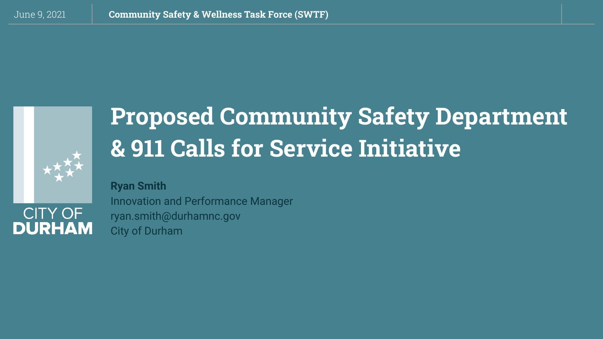

**DURHAM** 

# **Proposed Community Safety Department & 911 Calls for Service Initiative**

**Ryan Smith** Innovation and Performance Manager ryan.smith@durhamnc.gov City of Durham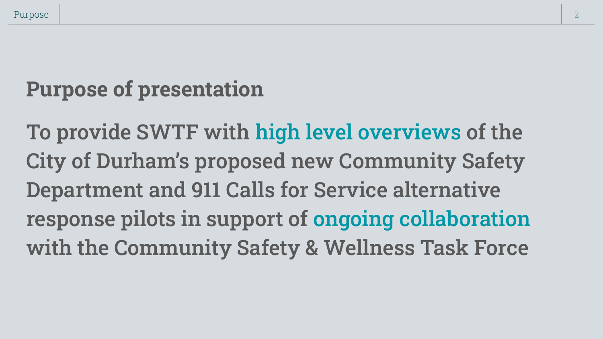# **Purpose of presentation**

To provide SWTF with high level overviews of the City of Durham's proposed new Community Safety Department and 911 Calls for Service alternative response pilots in support of ongoing collaboration with the Community Safety & Wellness Task Force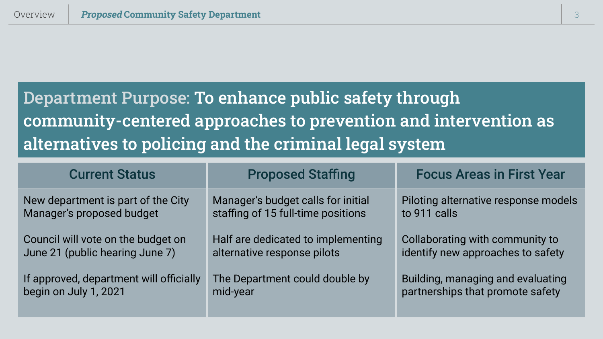# Department Purpose: To enhance public safety through community-centered approaches to prevention and intervention as alternatives to policing and the criminal legal system

| <b>Current Status</b>                   | <b>Proposed Staffing</b>           | <b>Focus Areas in First Year</b>     |
|-----------------------------------------|------------------------------------|--------------------------------------|
| New department is part of the City      | Manager's budget calls for initial | Piloting alternative response models |
| Manager's proposed budget               | staffing of 15 full-time positions | to 911 calls                         |
| Council will vote on the budget on      | Half are dedicated to implementing | Collaborating with community to      |
| June 21 (public hearing June 7)         | alternative response pilots        | identify new approaches to safety    |
| If approved, department will officially | The Department could double by     | Building, managing and evaluating    |
| begin on July 1, 2021                   | mid-year                           | partnerships that promote safety     |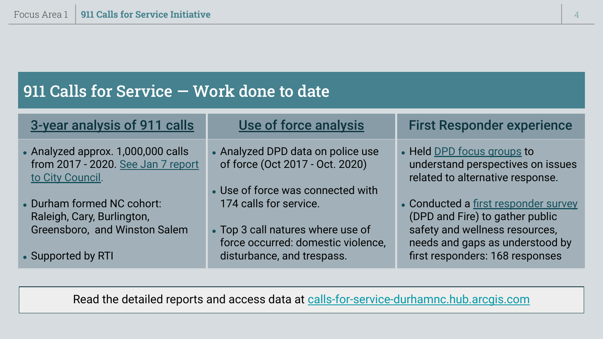### 911 Calls for Service — Work done to date

| 3-year analysis of 911 calls                                                                 | Use of force analysis                                                                                     | <b>First Responder experience</b>                                                                                                            |
|----------------------------------------------------------------------------------------------|-----------------------------------------------------------------------------------------------------------|----------------------------------------------------------------------------------------------------------------------------------------------|
| • Analyzed approx. 1,000,000 calls<br>from 2017 - 2020. See Jan 7 report<br>to City Council. | • Analyzed DPD data on police use<br>of force (Oct 2017 - Oct. 2020)<br>• Use of force was connected with | • Held DPD focus groups to<br>understand perspectives on issues<br>related to alternative response.                                          |
| • Durham formed NC cohort:<br>Raleigh, Cary, Burlington,<br>Greensboro, and Winston Salem    | 174 calls for service.<br>• Top 3 call natures where use of<br>force occurred: domestic violence,         | • Conducted a first responder survey<br>(DPD and Fire) to gather public<br>safety and wellness resources,<br>needs and gaps as understood by |
| • Supported by RTI                                                                           | disturbance, and trespass.                                                                                | first responders: 168 responses                                                                                                              |

Read the detailed reports and access data at [calls-for-service-durhamnc.hub.arcgis.com](https://calls-for-service-durhamnc.hub.arcgis.com/)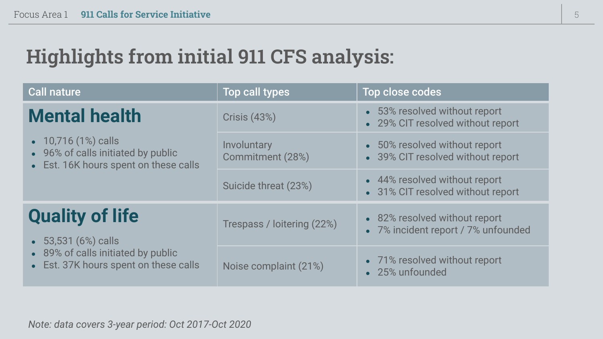## **Highlights from initial 911 CFS analysis:**

| <b>Call nature</b>                                                                                                                 | <b>Top call types</b>           | Top close codes                                                      |
|------------------------------------------------------------------------------------------------------------------------------------|---------------------------------|----------------------------------------------------------------------|
| <b>Mental health</b><br>• 10,716 (1%) calls<br>• 96% of calls initiated by public<br>• Est. 16K hours spent on these calls         | <b>Crisis (43%)</b>             | • 53% resolved without report<br>• 29% CIT resolved without report   |
|                                                                                                                                    | Involuntary<br>Commitment (28%) | • 50% resolved without report<br>• 39% CIT resolved without report   |
|                                                                                                                                    | Suicide threat (23%)            | • 44% resolved without report<br>• 31% CIT resolved without report   |
| <b>Quality of life</b><br>$\bullet$ 53,531 (6%) calls<br>• 89% of calls initiated by public<br>Est. 37K hours spent on these calls | Trespass / loitering (22%)      | • 82% resolved without report<br>• 7% incident report / 7% unfounded |
|                                                                                                                                    | Noise complaint (21%)           | • 71% resolved without report<br>• 25% unfounded                     |

*Note: data covers 3-year period: Oct 2017-Oct 2020*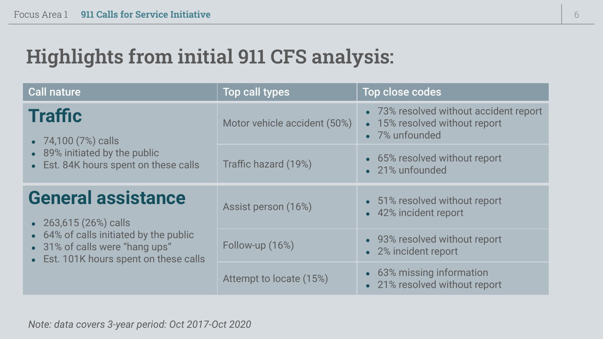## **Highlights from initial 911 CFS analysis:**

| <b>Call nature</b>                                                                                                                                                       | Top call types               | Top close codes                                                                           |
|--------------------------------------------------------------------------------------------------------------------------------------------------------------------------|------------------------------|-------------------------------------------------------------------------------------------|
| <b>Traffic</b><br>• 74,100 (7%) calls<br>• 89% initiated by the public<br>• Est. 84K hours spent on these calls                                                          | Motor vehicle accident (50%) | • 73% resolved without accident report<br>• 15% resolved without report<br>• 7% unfounded |
|                                                                                                                                                                          | Traffic hazard (19%)         | • 65% resolved without report<br>• 21% unfounded                                          |
| <b>General assistance</b><br>• 263,615 (26%) calls<br>• 64% of calls initiated by the public<br>• 31% of calls were "hang ups"<br>• Est. 101K hours spent on these calls | Assist person (16%)          | • 51% resolved without report<br>• 42% incident report                                    |
|                                                                                                                                                                          | Follow-up (16%)              | • 93% resolved without report<br>• 2% incident report                                     |
|                                                                                                                                                                          | Attempt to locate (15%)      | • 63% missing information<br>• 21% resolved without report                                |

*Note: data covers 3-year period: Oct 2017-Oct 2020*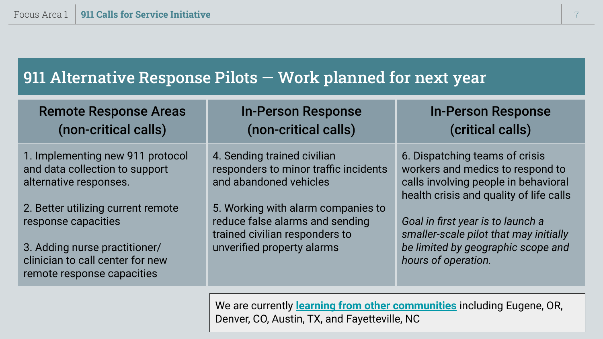### 911 Alternative Response Pilots — Work planned for next year

| <b>Remote Response Areas</b><br>(non-critical calls)                                                                                                         | <b>In-Person Response</b><br>(non-critical calls)                                                                                     | <b>In-Person Response</b><br>(critical calls)                                                                                                         |
|--------------------------------------------------------------------------------------------------------------------------------------------------------------|---------------------------------------------------------------------------------------------------------------------------------------|-------------------------------------------------------------------------------------------------------------------------------------------------------|
| 1. Implementing new 911 protocol<br>and data collection to support<br>alternative responses.                                                                 | 4. Sending trained civilian<br>responders to minor traffic incidents<br>and abandoned vehicles                                        | 6. Dispatching teams of crisis<br>workers and medics to respond to<br>calls involving people in behavioral<br>health crisis and quality of life calls |
| 2. Better utilizing current remote<br>response capacities<br>3. Adding nurse practitioner/<br>clinician to call center for new<br>remote response capacities | 5. Working with alarm companies to<br>reduce false alarms and sending<br>trained civilian responders to<br>unverified property alarms | Goal in first year is to launch a<br>smaller-scale pilot that may initially<br>be limited by geographic scope and<br>hours of operation.              |

We are currently **[learning from other communities](https://calls-for-service-durhamnc.hub.arcgis.com/documents/c011ea80d3fb4cb08aaf5fbf365198f1/explore)** including Eugene, OR, Denver, CO, Austin, TX, and Fayetteville, NC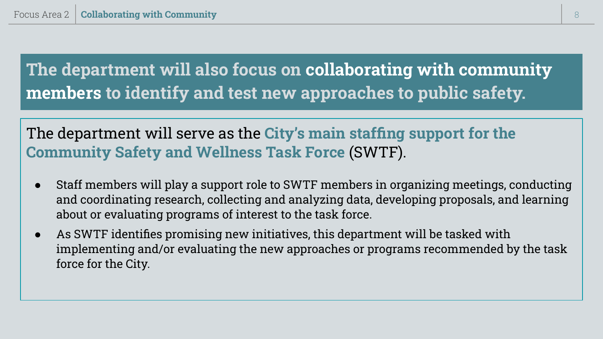**The department will also focus on collaborating with community members to identify and test new approaches to public safety.**

The department will serve as the **City's main staffing support for the Community Safety and Wellness Task Force** (SWTF).

- Staff members will play a support role to SWTF members in organizing meetings, conducting and coordinating research, collecting and analyzing data, developing proposals, and learning about or evaluating programs of interest to the task force.
- As SWTF identifies promising new initiatives, this department will be tasked with implementing and/or evaluating the new approaches or programs recommended by the task force for the City.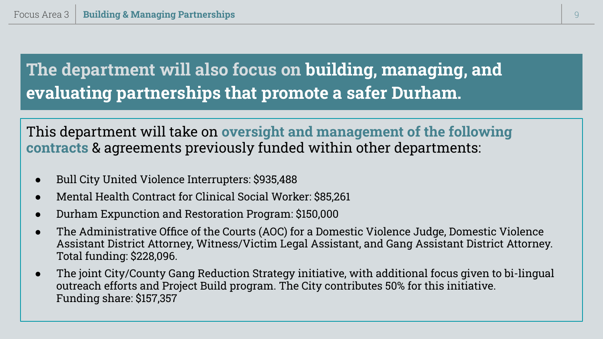### **The department will also focus on building, managing, and evaluating partnerships that promote a safer Durham.**

### This department will take on **oversight and management of the following contracts** & agreements previously funded within other departments:

- Bull City United Violence Interrupters: \$935,488
- Mental Health Contract for Clinical Social Worker: \$85,261
- Durham Expunction and Restoration Program: \$150,000
- The Administrative Office of the Courts (AOC) for a Domestic Violence Judge, Domestic Violence Assistant District Attorney, Witness/Victim Legal Assistant, and Gang Assistant District Attorney. Total funding: \$228,096.
- The joint City/County Gang Reduction Strategy initiative, with additional focus given to bi-lingual outreach efforts and Project Build program. The City contributes 50% for this initiative. Funding share: \$157,357